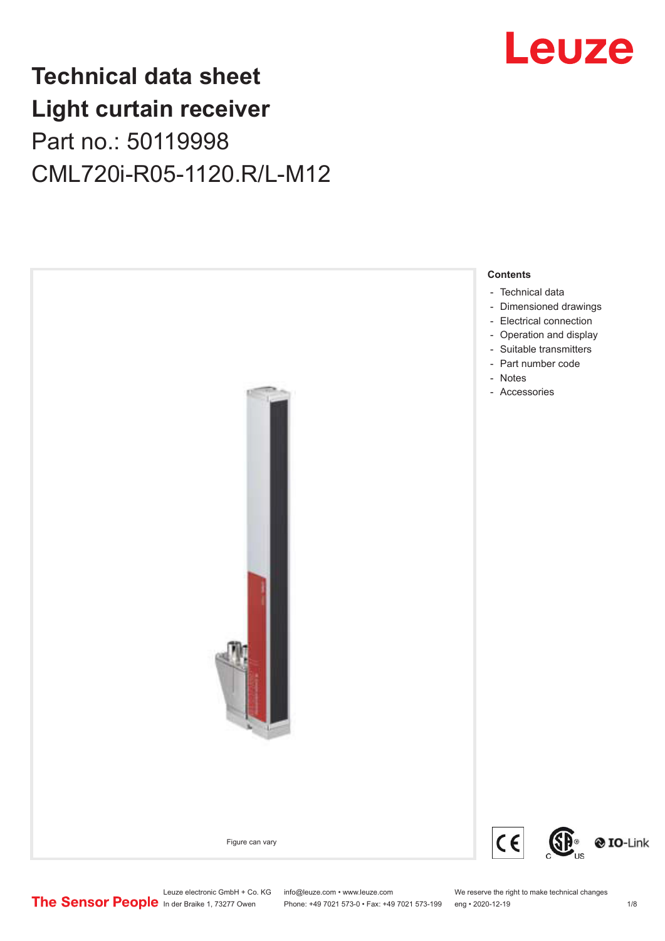## **Technical data sheet Light curtain receiver** Part no.: 50119998 CML720i-R05-1120.R/L-M12





Leuze electronic GmbH + Co. KG info@leuze.com • www.leuze.com We reserve the right to make technical changes<br>
The Sensor People in der Braike 1, 73277 Owen Phone: +49 7021 573-0 • Fax: +49 7021 573-199 eng • 2020-12-19

Phone: +49 7021 573-0 • Fax: +49 7021 573-199 eng • 2020-12-19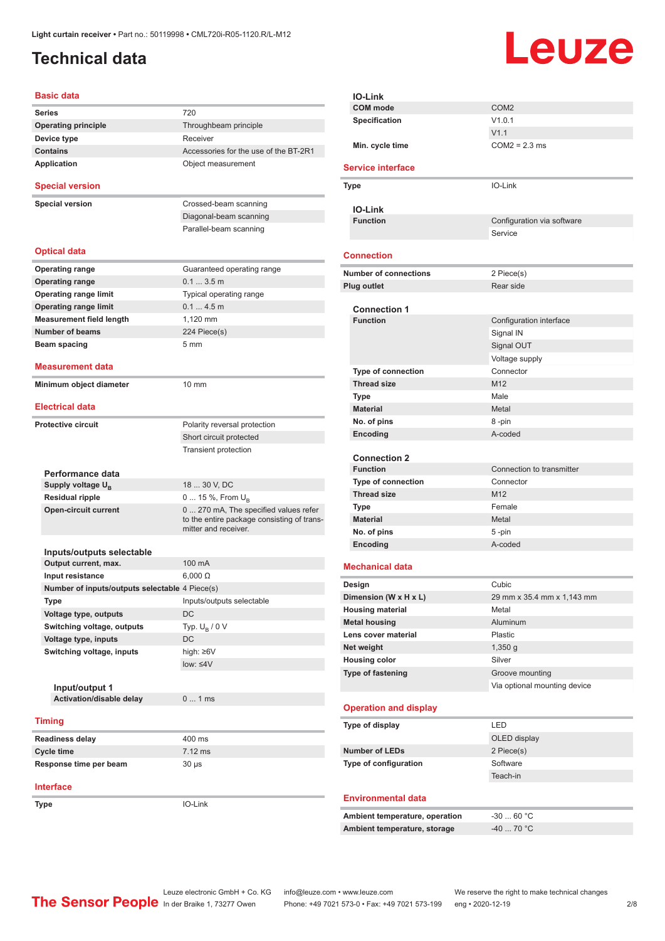### <span id="page-1-0"></span>**Technical data**

# Leuze

| <b>Basic data</b>                              |                                                                    |
|------------------------------------------------|--------------------------------------------------------------------|
| <b>Series</b>                                  | 720                                                                |
| <b>Operating principle</b>                     | Throughbeam principle                                              |
| Device type                                    | Receiver                                                           |
| <b>Contains</b>                                | Accessories for the use of the BT-2R1                              |
| Application                                    | Object measurement                                                 |
| <b>Special version</b>                         |                                                                    |
|                                                |                                                                    |
| <b>Special version</b>                         | Crossed-beam scanning                                              |
|                                                | Diagonal-beam scanning                                             |
|                                                | Parallel-beam scanning                                             |
| <b>Optical data</b>                            |                                                                    |
| <b>Operating range</b>                         | Guaranteed operating range                                         |
| <b>Operating range</b>                         | 0.13.5m                                                            |
| <b>Operating range limit</b>                   | Typical operating range                                            |
| <b>Operating range limit</b>                   | 0.14.5m                                                            |
| <b>Measurement field length</b>                | 1.120 mm                                                           |
| <b>Number of beams</b>                         | 224 Piece(s)                                                       |
| Beam spacing                                   | $5 \text{ mm}$                                                     |
|                                                |                                                                    |
| <b>Measurement data</b>                        |                                                                    |
| Minimum object diameter                        | $10 \text{ mm}$                                                    |
| <b>Electrical data</b>                         |                                                                    |
| <b>Protective circuit</b>                      | Polarity reversal protection                                       |
|                                                | Short circuit protected                                            |
|                                                | <b>Transient protection</b>                                        |
|                                                |                                                                    |
| Performance data                               |                                                                    |
| Supply voltage $U_{\rm B}$                     | 18  30 V, DC                                                       |
| <b>Residual ripple</b>                         | 0  15 %, From $U_{\rm B}$                                          |
| <b>Open-circuit current</b>                    | 0  270 mA, The specified values refer                              |
|                                                | to the entire package consisting of trans-<br>mitter and receiver. |
|                                                |                                                                    |
| Inputs/outputs selectable                      |                                                                    |
| Output current, max.                           | 100 mA                                                             |
| Input resistance                               | $6,000 \Omega$                                                     |
| Number of inputs/outputs selectable 4 Piece(s) |                                                                    |
| <b>Type</b>                                    | Inputs/outputs selectable                                          |
| Voltage type, outputs                          | DC                                                                 |
| Switching voltage, outputs                     | Typ. $U_B / 0 V$                                                   |
| Voltage type, inputs                           | DC                                                                 |
| Switching voltage, inputs                      | high: $\geq 6V$                                                    |
|                                                | $low: \leq 4V$                                                     |
| Input/output 1                                 |                                                                    |
| Activation/disable delay                       | 01ms                                                               |
|                                                |                                                                    |
| <b>Timing</b>                                  |                                                                    |
| <b>Readiness delay</b>                         | 400 ms                                                             |
| <b>Cycle time</b>                              | 7.12 ms                                                            |
| Response time per beam                         | $30 \mu s$                                                         |
|                                                |                                                                    |
| <b>Interface</b>                               |                                                                    |
| Type                                           | IO-Link                                                            |

|                       | <b>IO-Link</b>                                  |                              |
|-----------------------|-------------------------------------------------|------------------------------|
|                       | <b>COM</b> mode                                 | COM <sub>2</sub>             |
|                       | <b>Specification</b>                            | V1.0.1                       |
|                       |                                                 | V1.1                         |
|                       | Min. cycle time                                 | $COM2 = 2.3$ ms              |
|                       | <b>Service interface</b>                        |                              |
| Type                  |                                                 | IO-Link                      |
|                       | <b>IO-Link</b>                                  |                              |
|                       | <b>Function</b>                                 | Configuration via software   |
|                       |                                                 | Service                      |
|                       | <b>Connection</b>                               |                              |
|                       | <b>Number of connections</b>                    | 2 Piece(s)                   |
|                       | <b>Plug outlet</b>                              | Rear side                    |
|                       |                                                 |                              |
|                       | <b>Connection 1</b>                             |                              |
|                       | <b>Function</b>                                 | Configuration interface      |
|                       |                                                 | Signal IN                    |
|                       |                                                 | Signal OUT                   |
|                       |                                                 | Voltage supply               |
|                       | <b>Type of connection</b><br><b>Thread size</b> | Connector<br>M <sub>12</sub> |
|                       |                                                 | Male                         |
|                       | Type<br><b>Material</b>                         | Metal                        |
|                       | No. of pins                                     | 8-pin                        |
|                       | Encoding                                        | A-coded                      |
|                       |                                                 |                              |
|                       | <b>Connection 2</b>                             |                              |
|                       | <b>Function</b>                                 | Connection to transmitter    |
|                       | <b>Type of connection</b>                       | Connector                    |
|                       | <b>Thread size</b>                              | M12                          |
|                       | Type                                            | Female                       |
|                       | <b>Material</b>                                 | Metal                        |
|                       | No. of pins                                     | 5-pin                        |
|                       | Encoding                                        | A-coded                      |
|                       | <b>Mechanical data</b>                          |                              |
|                       | Design                                          | Cubic                        |
| Dimension (W x H x L) |                                                 | 29 mm x 35.4 mm x 1,143 mm   |
|                       | <b>Housing material</b>                         | Metal                        |
|                       | <b>Metal housing</b>                            | Aluminum                     |
|                       | Lens cover material                             | Plastic                      |
|                       | Net weight                                      | $1,350$ g                    |
|                       | <b>Housing color</b>                            | Silver                       |
|                       | <b>Type of fastening</b>                        | Groove mounting              |
|                       |                                                 | Via optional mounting device |
|                       | <b>Operation and display</b>                    |                              |
|                       | Type of display                                 | LED                          |
|                       |                                                 | OLED display                 |
|                       | <b>Number of LEDs</b>                           | 2 Piece(s)                   |
| Type of configuration |                                                 | Software                     |
|                       |                                                 | Teach-in                     |
|                       |                                                 |                              |
|                       | <b>Environmental data</b>                       |                              |
|                       | Ambient temperature, operation                  | $-3060 °C$                   |
|                       | Ambient temperature, storage                    | -40  70 °C                   |
|                       |                                                 |                              |
|                       |                                                 |                              |

ln der Braike 1, 73277 Owen Phone: +49 7021 573-0 • Fax: +49 7021 573-199 eng • 2020-12-19

Leuze electronic GmbH + Co. KG info@leuze.com • www.leuze.com We reserve the right to make technical changes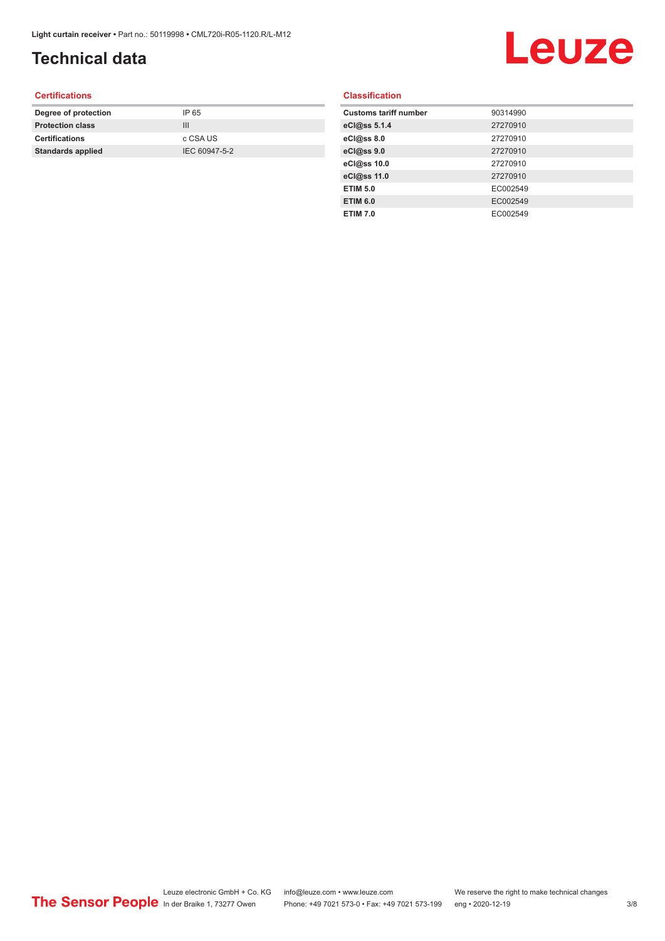## **Technical data**

# Leuze

#### **Certifications**

| Degree of protection     | IP 65         |
|--------------------------|---------------|
| <b>Protection class</b>  | Ш             |
| <b>Certifications</b>    | c CSA US      |
| <b>Standards applied</b> | IEC 60947-5-2 |
|                          |               |

#### **Classification**

| <b>Customs tariff number</b> | 90314990 |
|------------------------------|----------|
| eCl@ss 5.1.4                 | 27270910 |
| eCl@ss 8.0                   | 27270910 |
| eCl@ss 9.0                   | 27270910 |
| eCl@ss 10.0                  | 27270910 |
| eCl@ss 11.0                  | 27270910 |
| <b>ETIM 5.0</b>              | EC002549 |
| <b>ETIM 6.0</b>              | EC002549 |
| <b>ETIM 7.0</b>              | EC002549 |
|                              |          |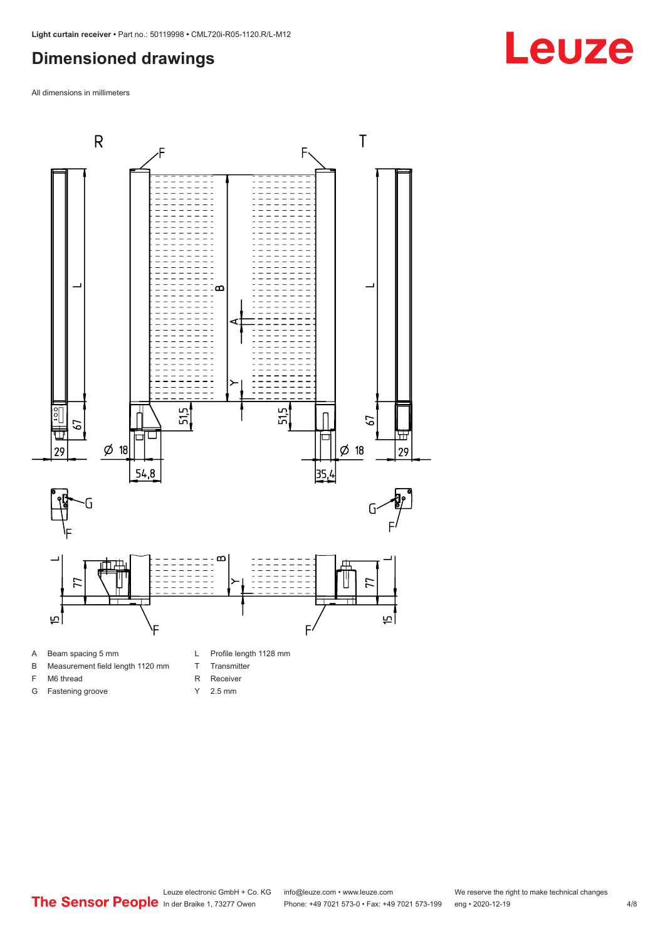### <span id="page-3-0"></span>**Dimensioned drawings**

All dimensions in millimeters



- B Measurement field length 1120 mm
- F M6 thread
- G Fastening groove
- 
- T Transmitter
- R Receiver
- Y 2.5 mm



## **Leuze**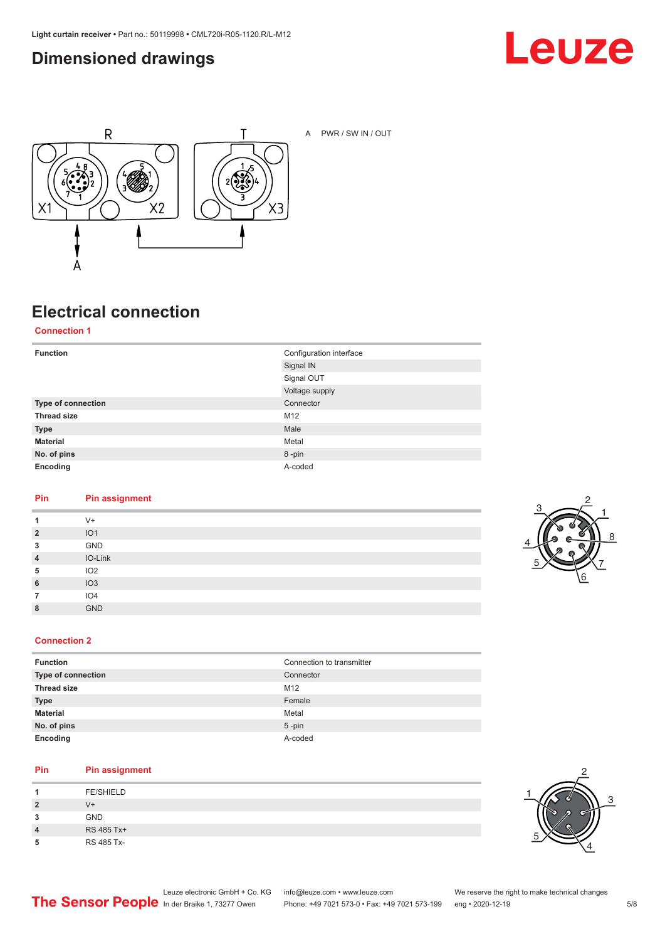### <span id="page-4-0"></span>**Dimensioned drawings**





A PWR / SW IN / OUT

### **Electrical connection**

**Connection 1**

| <b>Function</b>    | Configuration interface |
|--------------------|-------------------------|
|                    | Signal IN               |
|                    | Signal OUT              |
|                    | Voltage supply          |
| Type of connection | Connector               |
| <b>Thread size</b> | M12                     |
| <b>Type</b>        | Male                    |
| <b>Material</b>    | Metal                   |
| No. of pins        | 8-pin                   |
| Encoding           | A-coded                 |

#### **Pin Pin assignment**

| 1              | $V +$           |
|----------------|-----------------|
| $\overline{2}$ | IO <sub>1</sub> |
| 3              | GND             |
| $\overline{4}$ | IO-Link         |
| 5              | IO2             |
| 6              | IO3             |
|                | IO <sub>4</sub> |
| 8              | <b>GND</b>      |



#### **Connection 2**

| Connection to transmitter |
|---------------------------|
| Connector                 |
| M12                       |
| Female                    |
| Metal                     |
| $5$ -pin                  |
| A-coded                   |
|                           |

#### **Pin Pin assignment**

|   | <b>FE/SHIELD</b> |
|---|------------------|
| 2 | $V +$            |
| 3 | <b>GND</b>       |
| 4 | RS 485 Tx+       |
| 5 | RS 485 Tx-       |

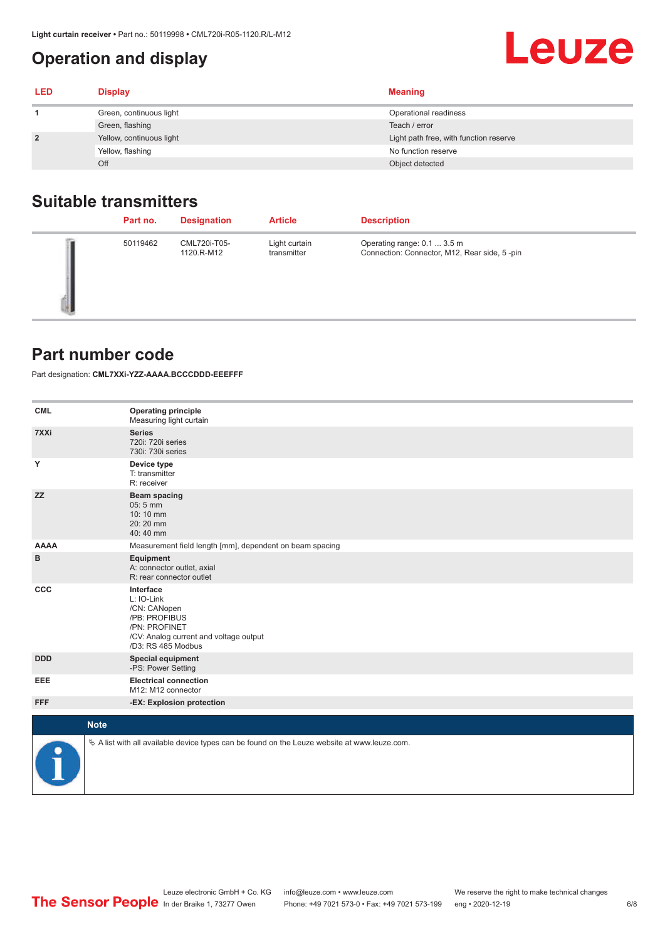### <span id="page-5-0"></span>**Operation and display**

| <b>LED</b>     | <b>Display</b>           | <b>Meaning</b>                         |
|----------------|--------------------------|----------------------------------------|
|                | Green, continuous light  | Operational readiness                  |
|                | Green, flashing          | Teach / error                          |
| $\overline{2}$ | Yellow, continuous light | Light path free, with function reserve |
|                | Yellow, flashing         | No function reserve                    |
|                | Off                      | Object detected                        |

### **Suitable transmitters**

| Part no. | <b>Designation</b>         | <b>Article</b>               | <b>Description</b>                                                          |
|----------|----------------------------|------------------------------|-----------------------------------------------------------------------------|
| 50119462 | CML720i-T05-<br>1120.R-M12 | Light curtain<br>transmitter | Operating range: 0.1  3.5 m<br>Connection: Connector, M12, Rear side, 5-pin |

#### **Part number code**

Part designation: **CML7XXi-YZZ-AAAA.BCCCDDD-EEEFFF**

| <b>CML</b>  | <b>Operating principle</b><br>Measuring light curtain                                                                                     |
|-------------|-------------------------------------------------------------------------------------------------------------------------------------------|
| 7XXi        | <b>Series</b><br>720i: 720i series<br>730i: 730i series                                                                                   |
| Y           | Device type<br>T: transmitter<br>R: receiver                                                                                              |
| <b>ZZ</b>   | <b>Beam spacing</b><br>05:5 mm<br>10:10 mm<br>20:20 mm<br>40:40 mm                                                                        |
| <b>AAAA</b> | Measurement field length [mm], dependent on beam spacing                                                                                  |
| в           | Equipment<br>A: connector outlet, axial<br>R: rear connector outlet                                                                       |
| CCC         | Interface<br>L: IO-Link<br>/CN: CANopen<br>/PB: PROFIBUS<br>/PN: PROFINET<br>/CV: Analog current and voltage output<br>/D3: RS 485 Modbus |
| <b>DDD</b>  | <b>Special equipment</b><br>-PS: Power Setting                                                                                            |
| EEE         | <b>Electrical connection</b><br>M12: M12 connector                                                                                        |
| <b>FFF</b>  | -EX: Explosion protection                                                                                                                 |
| <b>Note</b> |                                                                                                                                           |
| P           | $\&$ A list with all available device types can be found on the Leuze website at www.leuze.com.                                           |

**Leuze**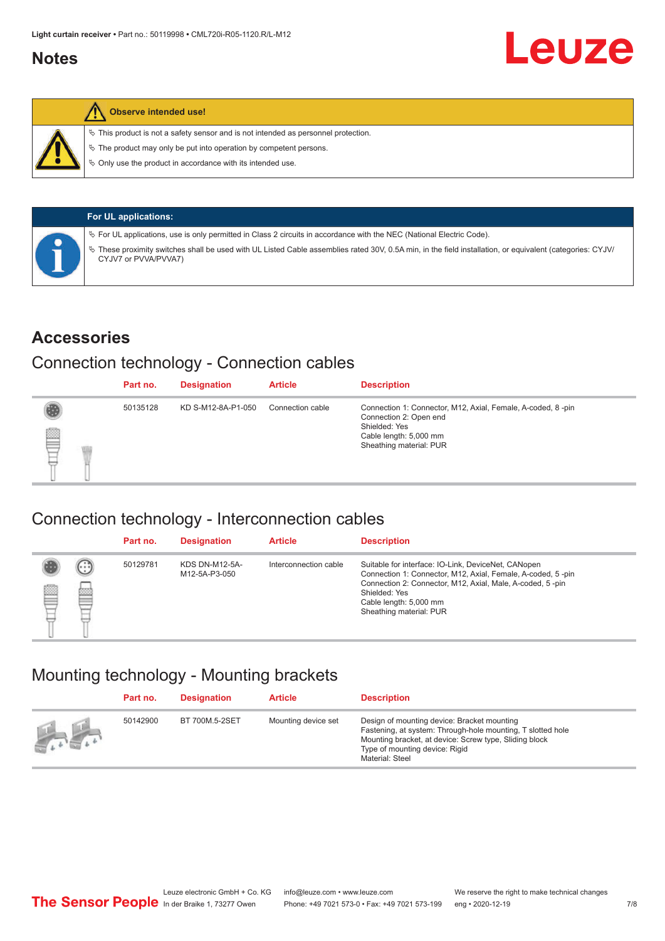#### <span id="page-6-0"></span>**Notes**



#### **Observe intended use!**

 $\%$  This product is not a safety sensor and is not intended as personnel protection.

 $\%$  The product may only be put into operation by competent persons.

 $\%$  Only use the product in accordance with its intended use.

| <b>For UL applications:</b>                                                                                                                                                       |
|-----------------------------------------------------------------------------------------------------------------------------------------------------------------------------------|
| $\%$ For UL applications, use is only permitted in Class 2 circuits in accordance with the NEC (National Electric Code).                                                          |
| V These proximity switches shall be used with UL Listed Cable assemblies rated 30V, 0.5A min, in the field installation, or equivalent (categories: CYJV/<br>CYJV7 or PVVA/PVVA7) |

#### **Accessories**

#### Connection technology - Connection cables

|   | Part no. | <b>Designation</b> | <b>Article</b>   | <b>Description</b>                                                                                                                                          |
|---|----------|--------------------|------------------|-------------------------------------------------------------------------------------------------------------------------------------------------------------|
| § | 50135128 | KD S-M12-8A-P1-050 | Connection cable | Connection 1: Connector, M12, Axial, Female, A-coded, 8-pin<br>Connection 2: Open end<br>Shielded: Yes<br>Cable length: 5,000 mm<br>Sheathing material: PUR |

#### Connection technology - Interconnection cables

|   |                   | Part no. | <b>Designation</b>                     | <b>Article</b>        | <b>Description</b>                                                                                                                                                                                                                                    |
|---|-------------------|----------|----------------------------------------|-----------------------|-------------------------------------------------------------------------------------------------------------------------------------------------------------------------------------------------------------------------------------------------------|
| e | $(\cdot$ : :<br>œ | 50129781 | <b>KDS DN-M12-5A-</b><br>M12-5A-P3-050 | Interconnection cable | Suitable for interface: IO-Link, DeviceNet, CANopen<br>Connection 1: Connector, M12, Axial, Female, A-coded, 5-pin<br>Connection 2: Connector, M12, Axial, Male, A-coded, 5-pin<br>Shielded: Yes<br>Cable length: 5,000 mm<br>Sheathing material: PUR |

#### Mounting technology - Mounting brackets

|               | Part no. | <b>Designation</b> | <b>Article</b>      | <b>Description</b>                                                                                                                                                                                                        |
|---------------|----------|--------------------|---------------------|---------------------------------------------------------------------------------------------------------------------------------------------------------------------------------------------------------------------------|
| $\frac{1}{2}$ | 50142900 | BT 700M.5-2SET     | Mounting device set | Design of mounting device: Bracket mounting<br>Fastening, at system: Through-hole mounting, T slotted hole<br>Mounting bracket, at device: Screw type, Sliding block<br>Type of mounting device: Rigid<br>Material: Steel |

Leuze